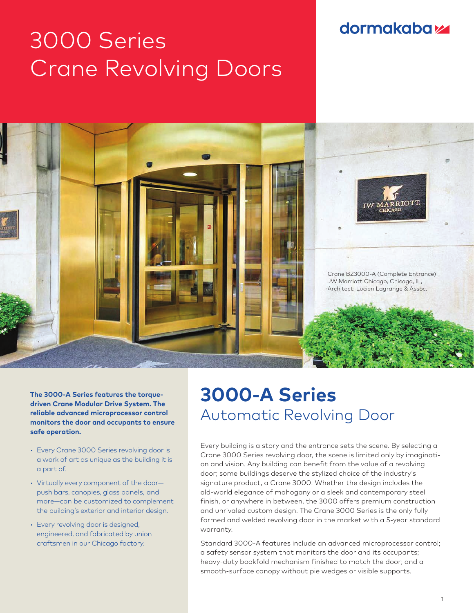## **dormakabaz**

# 3000 Series Crane Revolving Doors



**The 3000-A Series features the torquedriven Crane Modular Drive System. The reliable advanced microprocessor control monitors the door and occupants to ensure safe operation.** 

- Every Crane 3000 Series revolving door is a work of art as unique as the building it is a part of.
- Virtually every component of the door push bars, canopies, glass panels, and more—can be customized to complement the building's exterior and interior design.
- Every revolving door is designed, engineered, and fabricated by union craftsmen in our Chicago factory.

# **3000-A Series** Automatic Revolving Door

Every building is a story and the entrance sets the scene. By selecting a Crane 3000 Series revolving door, the scene is limited only by imagination and vision. Any building can benefit from the value of a revolving door; some buildings deserve the stylized choice of the industry's signature product, a Crane 3000. Whether the design includes the old-world elegance of mahogany or a sleek and contemporary steel finish, or anywhere in between, the 3000 offers premium construction and unrivaled custom design. The Crane 3000 Series is the only fully formed and welded revolving door in the market with a 5-year standard warranty.

Standard 3000-A features include an advanced microprocessor control; a safety sensor system that monitors the door and its occupants; heavy-duty bookfold mechanism finished to match the door; and a smooth-surface canopy without pie wedges or visible supports.